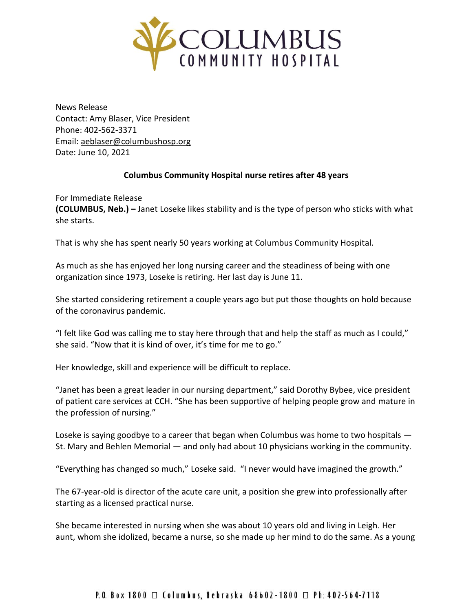

News Release Contact: Amy Blaser, Vice President Phone: 402-562-3371 Email: [aeblaser@columbushosp.org](mailto:aeblaser@columbushosp.org) Date: June 10, 2021

## **Columbus Community Hospital nurse retires after 48 years**

For Immediate Release **(COLUMBUS, Neb.) –** Janet Loseke likes stability and is the type of person who sticks with what she starts.

That is why she has spent nearly 50 years working at Columbus Community Hospital.

As much as she has enjoyed her long nursing career and the steadiness of being with one organization since 1973, Loseke is retiring. Her last day is June 11.

She started considering retirement a couple years ago but put those thoughts on hold because of the coronavirus pandemic.

"I felt like God was calling me to stay here through that and help the staff as much as I could," she said. "Now that it is kind of over, it's time for me to go."

Her knowledge, skill and experience will be difficult to replace.

"Janet has been a great leader in our nursing department," said Dorothy Bybee, vice president of patient care services at CCH. "She has been supportive of helping people grow and mature in the profession of nursing."

Loseke is saying goodbye to a career that began when Columbus was home to two hospitals — St. Mary and Behlen Memorial — and only had about 10 physicians working in the community.

"Everything has changed so much," Loseke said. "I never would have imagined the growth."

The 67-year-old is director of the acute care unit, a position she grew into professionally after starting as a licensed practical nurse.

She became interested in nursing when she was about 10 years old and living in Leigh. Her aunt, whom she idolized, became a nurse, so she made up her mind to do the same. As a young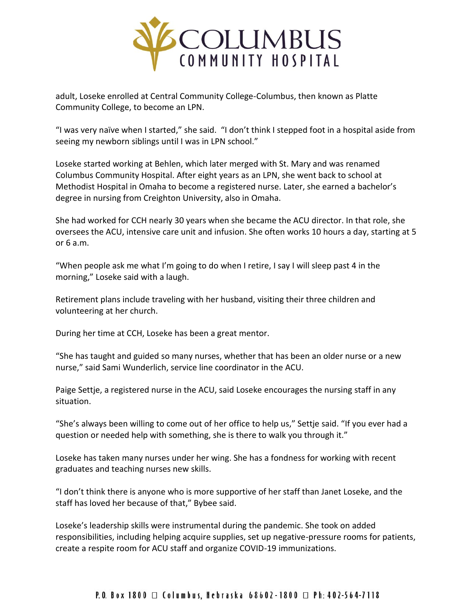

adult, Loseke enrolled at Central Community College-Columbus, then known as Platte Community College, to become an LPN.

"I was very naïve when I started," she said. "I don't think I stepped foot in a hospital aside from seeing my newborn siblings until I was in LPN school."

Loseke started working at Behlen, which later merged with St. Mary and was renamed Columbus Community Hospital. After eight years as an LPN, she went back to school at Methodist Hospital in Omaha to become a registered nurse. Later, she earned a bachelor's degree in nursing from Creighton University, also in Omaha.

She had worked for CCH nearly 30 years when she became the ACU director. In that role, she oversees the ACU, intensive care unit and infusion. She often works 10 hours a day, starting at 5 or 6 a.m.

"When people ask me what I'm going to do when I retire, I say I will sleep past 4 in the morning," Loseke said with a laugh.

Retirement plans include traveling with her husband, visiting their three children and volunteering at her church.

During her time at CCH, Loseke has been a great mentor.

"She has taught and guided so many nurses, whether that has been an older nurse or a new nurse," said Sami Wunderlich, service line coordinator in the ACU.

Paige Settje, a registered nurse in the ACU, said Loseke encourages the nursing staff in any situation.

"She's always been willing to come out of her office to help us," Settje said. "If you ever had a question or needed help with something, she is there to walk you through it."

Loseke has taken many nurses under her wing. She has a fondness for working with recent graduates and teaching nurses new skills.

"I don't think there is anyone who is more supportive of her staff than Janet Loseke, and the staff has loved her because of that," Bybee said.

Loseke's leadership skills were instrumental during the pandemic. She took on added responsibilities, including helping acquire supplies, set up negative-pressure rooms for patients, create a respite room for ACU staff and organize COVID-19 immunizations.